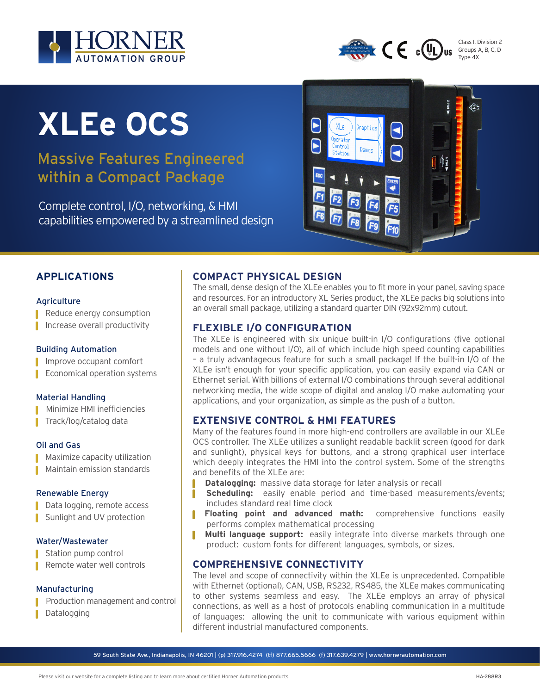



Class I, Division 2 Groups A, B, C, D Type 4X

# **XLEe OCS**

# Massive Features Engineered within a Compact Package

Complete control, I/O, networking, & HMI capabilities empowered by a streamlined design



# **APPLICATIONS**

#### **Agriculture**

■ Reduce energy consumption

Increase overall productivity

#### Building Automation

Improve occupant comfort

**Economical operation systems** 

#### Material Handling

Minimize HMI inefficiencies

Track/log/catalog data

#### Oil and Gas

Maximize capacity utilization Maintain emission standards

#### Renewable Energy

Data logging, remote access Sunlight and UV protection

#### Water/Wastewater

- Station pump control
- Remote water well controls

#### Manufacturing

- Production management and control
- Datalogging

## **COMPACT PHYSICAL DESIGN**

The small, dense design of the XLEe enables you to fit more in your panel, saving space and resources. For an introductory XL Series product, the XLEe packs big solutions into an overall small package, utilizing a standard quarter DIN (92x92mm) cutout.

### **FLEXIBLE I/O CONFIGURATION**

The XLEe is engineered with six unique built-in I/O configurations (five optional models and one without I/O), all of which include high speed counting capabilities – a truly advantageous feature for such a small package! If the built-in I/O of the XLEe isn't enough for your specific application, you can easily expand via CAN or Ethernet serial. With billions of external I/O combinations through several additional networking media, the wide scope of digital and analog I/O make automating your applications, and your organization, as simple as the push of a button.

## **EXTENSIVE CONTROL & HMI FEATURES**

Many of the features found in more high-end controllers are available in our XLEe OCS controller. The XLEe utilizes a sunlight readable backlit screen (good for dark and sunlight), physical keys for buttons, and a strong graphical user interface which deeply integrates the HMI into the control system. Some of the strengths and benefits of the XLEe are:

- **Datalogging:** massive data storage for later analysis or recall
- **Scheduling:** easily enable period and time-based measurements/events; includes standard real time clock
- **Floating point and advanced math:** comprehensive functions easily performs complex mathematical processing
- **Multi language support:** easily integrate into diverse markets through one product: custom fonts for different languages, symbols, or sizes.

#### **COMPREHENSIVE CONNECTIVITY**

The level and scope of connectivity within the XLEe is unprecedented. Compatible with Ethernet (optional), CAN, USB, RS232, RS485, the XLEe makes communicating to other systems seamless and easy. The XLEe employs an array of physical connections, as well as a host of protocols enabling communication in a multitude of languages: allowing the unit to communicate with various equipment within different industrial manufactured components.